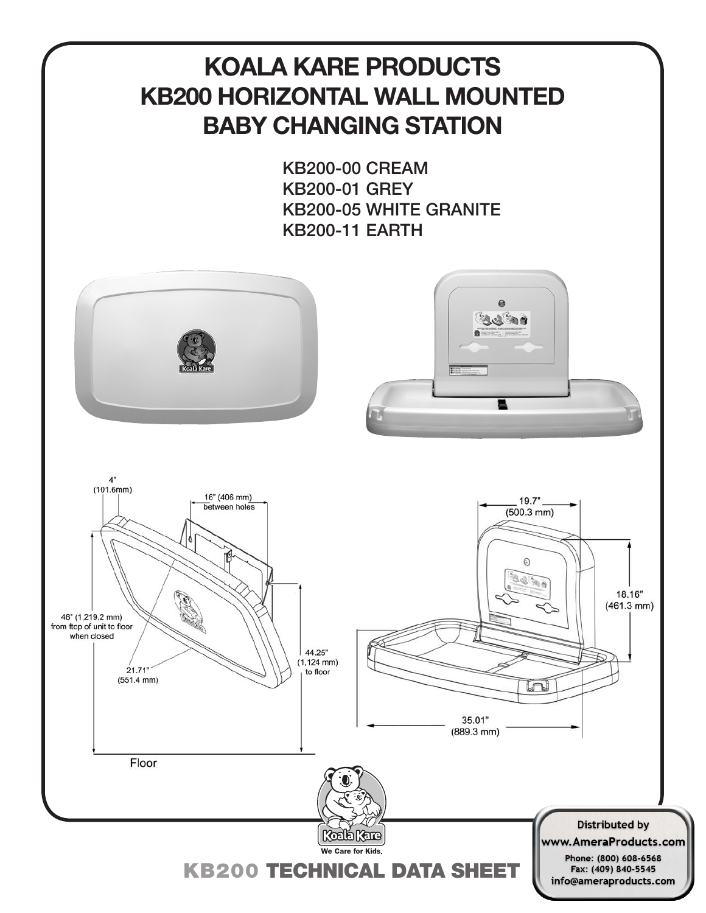# **KOALA KARE PRODUCTS KB200 HORIZONTAL WALL MOUNTED BABY CHANGING STATION**

KB200-00 CREAM KB200-01 GREY KB200-05 WHITE GRANITE KB200-11 EARTH

输台



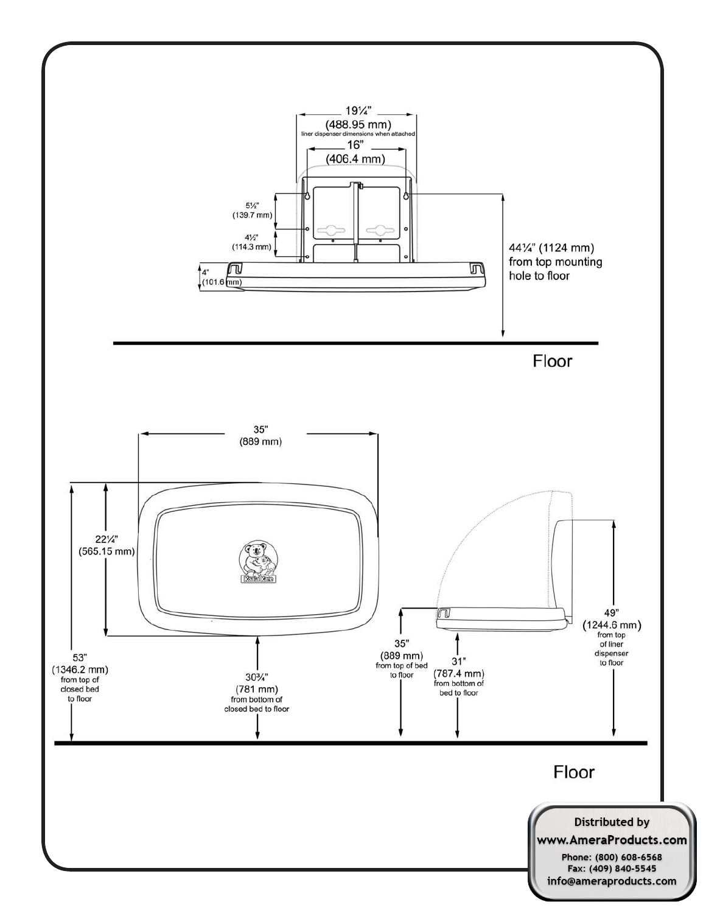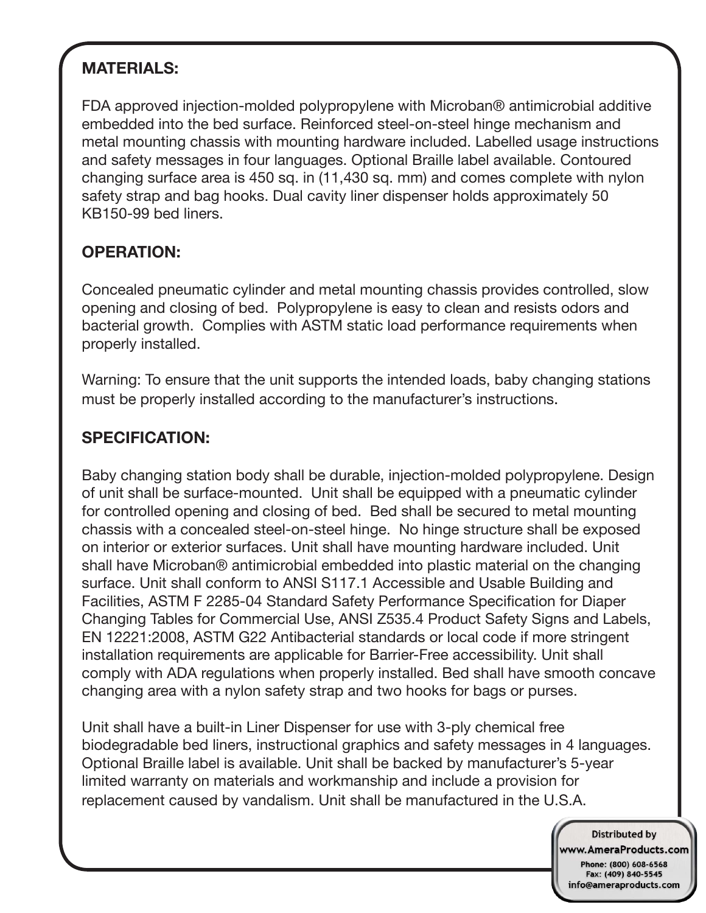## **MATERIALS:**

FDA approved injection-molded polypropylene with Microban® antimicrobial additive embedded into the bed surface. Reinforced steel-on-steel hinge mechanism and metal mounting chassis with mounting hardware included. Labelled usage instructions and safety messages in four languages. Optional Braille label available. Contoured changing surface area is 450 sq. in (11,430 sq. mm) and comes complete with nylon safety strap and bag hooks. Dual cavity liner dispenser holds approximately 50 KB150-99 bed liners.

### **OPERATION:**

Concealed pneumatic cylinder and metal mounting chassis provides controlled, slow opening and closing of bed. Polypropylene is easy to clean and resists odors and bacterial growth. Complies with ASTM static load performance requirements when properly installed.

Warning: To ensure that the unit supports the intended loads, baby changing stations must be properly installed according to the manufacturer's instructions.

### **SPECIFICATION:**

Baby changing station body shall be durable, injection-molded polypropylene. Design of unit shall be surface-mounted. Unit shall be equipped with a pneumatic cylinder for controlled opening and closing of bed. Bed shall be secured to metal mounting chassis with a concealed steel-on-steel hinge. No hinge structure shall be exposed on interior or exterior surfaces. Unit shall have mounting hardware included. Unit shall have Microban® antimicrobial embedded into plastic material on the changing surface. Unit shall conform to ANSI S117.1 Accessible and Usable Building and Facilities, ASTM F 2285-04 Standard Safety Performance Specification for Diaper Changing Tables for Commercial Use, ANSI Z535.4 Product Safety Signs and Labels, EN 12221:2008, ASTM G22 Antibacterial standards or local code if more stringent installation requirements are applicable for Barrier-Free accessibility. Unit shall comply with ADA regulations when properly installed. Bed shall have smooth concave changing area with a nylon safety strap and two hooks for bags or purses.

Unit shall have a built-in Liner Dispenser for use with 3-ply chemical free biodegradable bed liners, instructional graphics and safety messages in 4 languages. Optional Braille label is available. Unit shall be backed by manufacturer's 5-year limited warranty on materials and workmanship and include a provision for replacement caused by vandalism. Unit shall be manufactured in the U.S.A.

> **Distributed by** www.AmeraProducts.com Phone: (800) 608-6568 Fax: (409) 840-5545 info@ameraproducts.com